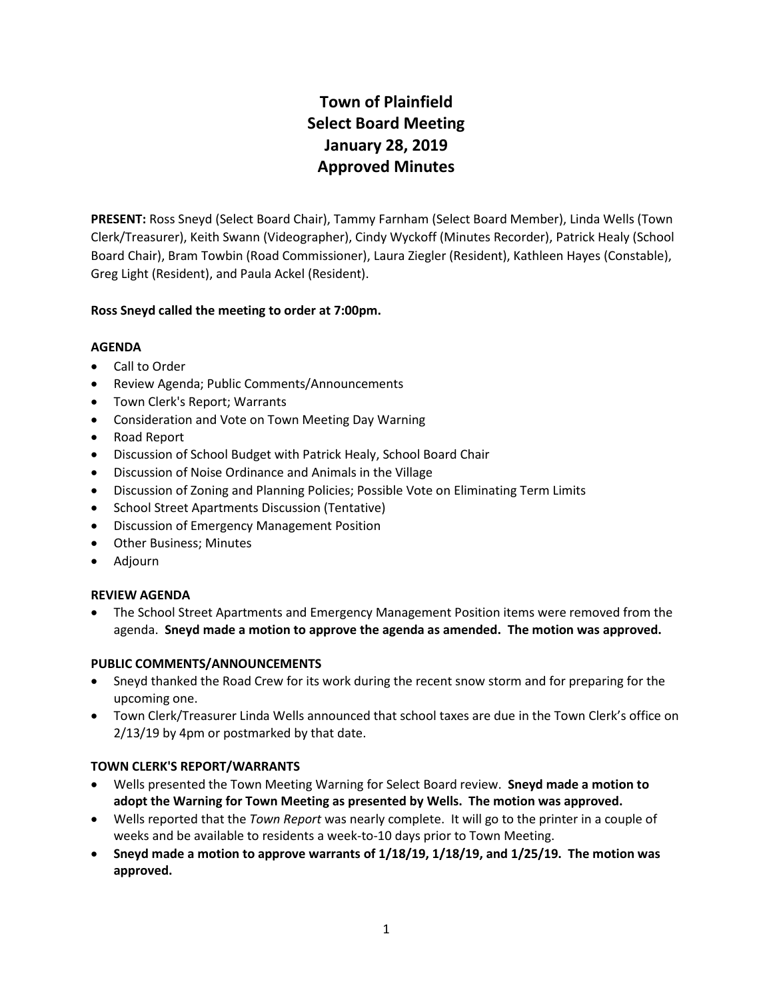# **Town of Plainfield Select Board Meeting January 28, 2019 Approved Minutes**

**PRESENT:** Ross Sneyd (Select Board Chair), Tammy Farnham (Select Board Member), Linda Wells (Town Clerk/Treasurer), Keith Swann (Videographer), Cindy Wyckoff (Minutes Recorder), Patrick Healy (School Board Chair), Bram Towbin (Road Commissioner), Laura Ziegler (Resident), Kathleen Hayes (Constable), Greg Light (Resident), and Paula Ackel (Resident).

# **Ross Sneyd called the meeting to order at 7:00pm.**

## **AGENDA**

- Call to Order
- Review Agenda; Public Comments/Announcements
- Town Clerk's Report; Warrants
- Consideration and Vote on Town Meeting Day Warning
- Road Report
- Discussion of School Budget with Patrick Healy, School Board Chair
- Discussion of Noise Ordinance and Animals in the Village
- Discussion of Zoning and Planning Policies; Possible Vote on Eliminating Term Limits
- School Street Apartments Discussion (Tentative)
- Discussion of Emergency Management Position
- Other Business; Minutes
- Adjourn

## **REVIEW AGENDA**

 The School Street Apartments and Emergency Management Position items were removed from the agenda. **Sneyd made a motion to approve the agenda as amended. The motion was approved.** 

## **PUBLIC COMMENTS/ANNOUNCEMENTS**

- Sneyd thanked the Road Crew for its work during the recent snow storm and for preparing for the upcoming one.
- Town Clerk/Treasurer Linda Wells announced that school taxes are due in the Town Clerk's office on 2/13/19 by 4pm or postmarked by that date.

## **TOWN CLERK'S REPORT/WARRANTS**

- Wells presented the Town Meeting Warning for Select Board review. **Sneyd made a motion to adopt the Warning for Town Meeting as presented by Wells. The motion was approved.**
- Wells reported that the *Town Report* was nearly complete. It will go to the printer in a couple of weeks and be available to residents a week-to-10 days prior to Town Meeting.
- **Sneyd made a motion to approve warrants of 1/18/19, 1/18/19, and 1/25/19. The motion was approved.**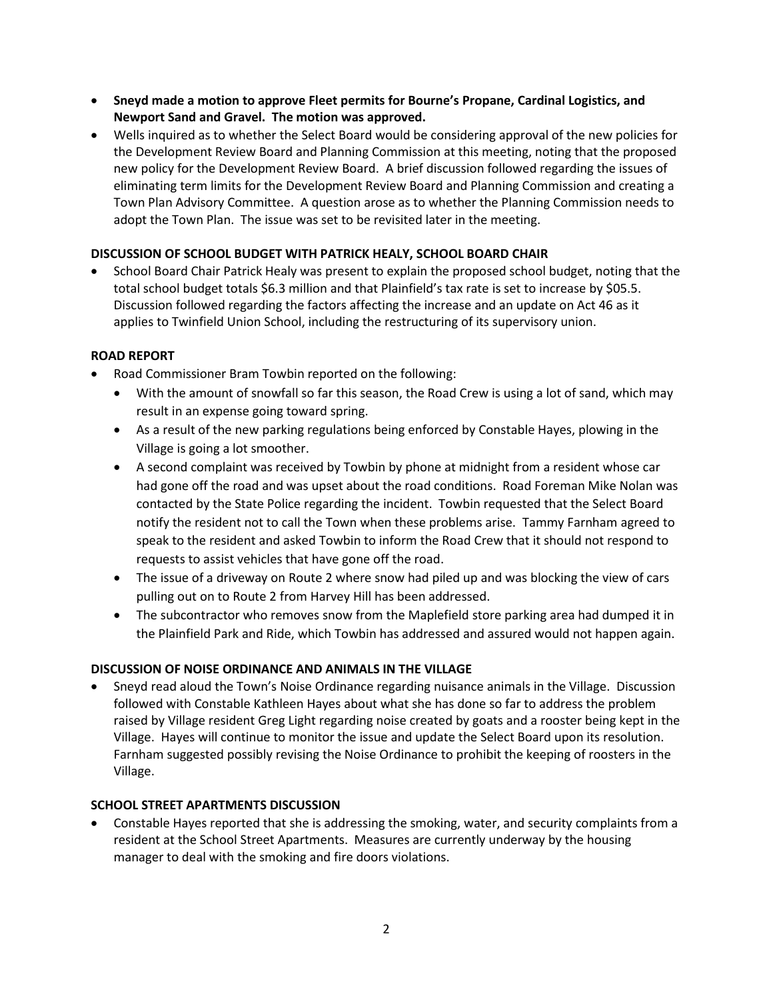- **Sneyd made a motion to approve Fleet permits for Bourne's Propane, Cardinal Logistics, and Newport Sand and Gravel. The motion was approved.**
- Wells inquired as to whether the Select Board would be considering approval of the new policies for the Development Review Board and Planning Commission at this meeting, noting that the proposed new policy for the Development Review Board. A brief discussion followed regarding the issues of eliminating term limits for the Development Review Board and Planning Commission and creating a Town Plan Advisory Committee. A question arose as to whether the Planning Commission needs to adopt the Town Plan. The issue was set to be revisited later in the meeting.

## **DISCUSSION OF SCHOOL BUDGET WITH PATRICK HEALY, SCHOOL BOARD CHAIR**

 School Board Chair Patrick Healy was present to explain the proposed school budget, noting that the total school budget totals \$6.3 million and that Plainfield's tax rate is set to increase by \$05.5. Discussion followed regarding the factors affecting the increase and an update on Act 46 as it applies to Twinfield Union School, including the restructuring of its supervisory union.

#### **ROAD REPORT**

- Road Commissioner Bram Towbin reported on the following:
	- With the amount of snowfall so far this season, the Road Crew is using a lot of sand, which may result in an expense going toward spring.
	- As a result of the new parking regulations being enforced by Constable Hayes, plowing in the Village is going a lot smoother.
	- A second complaint was received by Towbin by phone at midnight from a resident whose car had gone off the road and was upset about the road conditions. Road Foreman Mike Nolan was contacted by the State Police regarding the incident. Towbin requested that the Select Board notify the resident not to call the Town when these problems arise. Tammy Farnham agreed to speak to the resident and asked Towbin to inform the Road Crew that it should not respond to requests to assist vehicles that have gone off the road.
	- The issue of a driveway on Route 2 where snow had piled up and was blocking the view of cars pulling out on to Route 2 from Harvey Hill has been addressed.
	- The subcontractor who removes snow from the Maplefield store parking area had dumped it in the Plainfield Park and Ride, which Towbin has addressed and assured would not happen again.

## **DISCUSSION OF NOISE ORDINANCE AND ANIMALS IN THE VILLAGE**

 Sneyd read aloud the Town's Noise Ordinance regarding nuisance animals in the Village. Discussion followed with Constable Kathleen Hayes about what she has done so far to address the problem raised by Village resident Greg Light regarding noise created by goats and a rooster being kept in the Village. Hayes will continue to monitor the issue and update the Select Board upon its resolution. Farnham suggested possibly revising the Noise Ordinance to prohibit the keeping of roosters in the Village.

## **SCHOOL STREET APARTMENTS DISCUSSION**

 Constable Hayes reported that she is addressing the smoking, water, and security complaints from a resident at the School Street Apartments. Measures are currently underway by the housing manager to deal with the smoking and fire doors violations.